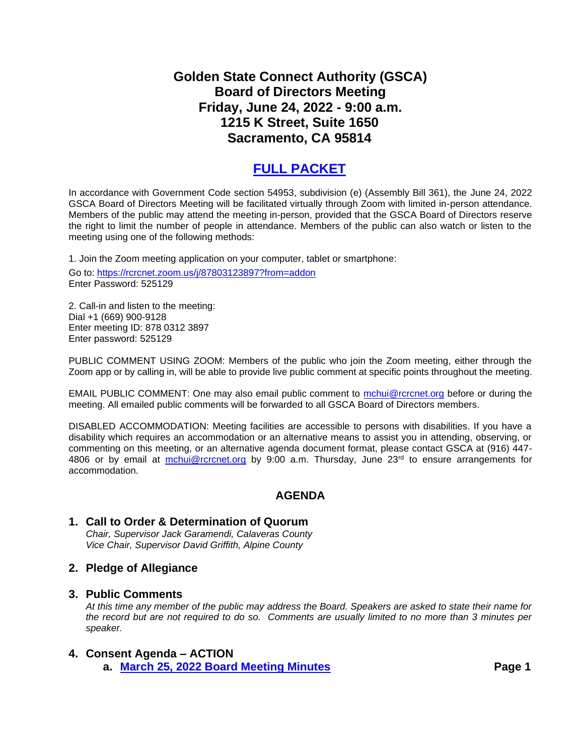## **Golden State Connect Authority (GSCA) Board of Directors Meeting Friday, June 24, 2022 - 9:00 a.m. 1215 K Street, Suite 1650 Sacramento, CA 95814**

# **[FULL PACKET](https://www.rcrcnet.org/sites/default/files/useruploads/Meetings/Misc/2022/6.24.2022_GSCA_BOD_Packet.pdf)**

In accordance with Government Code section 54953, subdivision (e) (Assembly Bill 361), the June 24, 2022 GSCA Board of Directors Meeting will be facilitated virtually through Zoom with limited in-person attendance. Members of the public may attend the meeting in-person, provided that the GSCA Board of Directors reserve the right to limit the number of people in attendance. Members of the public can also watch or listen to the meeting using one of the following methods:

1. Join the Zoom meeting application on your computer, tablet or smartphone:

Go to:<https://rcrcnet.zoom.us/j/87803123897?from=addon> Enter Password: 525129

2. Call-in and listen to the meeting: Dial +1 (669) 900-9128 Enter meeting ID: 878 0312 3897 Enter password: 525129

PUBLIC COMMENT USING ZOOM: Members of the public who join the Zoom meeting, either through the Zoom app or by calling in, will be able to provide live public comment at specific points throughout the meeting.

EMAIL PUBLIC COMMENT: One may also email public comment to [mchui@rcrcnet.org](mailto:mchui@rcrcnet.org) before or during the meeting. All emailed public comments will be forwarded to all GSCA Board of Directors members.

DISABLED ACCOMMODATION: Meeting facilities are accessible to persons with disabilities. If you have a disability which requires an accommodation or an alternative means to assist you in attending, observing, or commenting on this meeting, or an alternative agenda document format, please contact GSCA at (916) 447 4806 or by email at [mchui@rcrcnet.org](mailto:mchui@rcrcnet.org) by 9:00 a.m. Thursday, June 23<sup>rd</sup> to ensure arrangements for accommodation.

### **AGENDA**

**1. Call to Order & Determination of Quorum** *Chair, Supervisor Jack Garamendi, Calaveras County Vice Chair, Supervisor David Griffith, Alpine County*

#### **2. Pledge of Allegiance**

#### **3. Public Comments**

*At this time any member of the public may address the Board. Speakers are asked to state their name for the record but are not required to do so. Comments are usually limited to no more than 3 minutes per speaker.*

#### **4. Consent Agenda – ACTION**

**a. [March 25, 2022 Board Meeting Minutes](https://legistarweb-production.s3.amazonaws.com/uploads/attachment/pdf/1435366/3.25.2022_GSCA_Minutes_DRAFT.pdf) Page 1**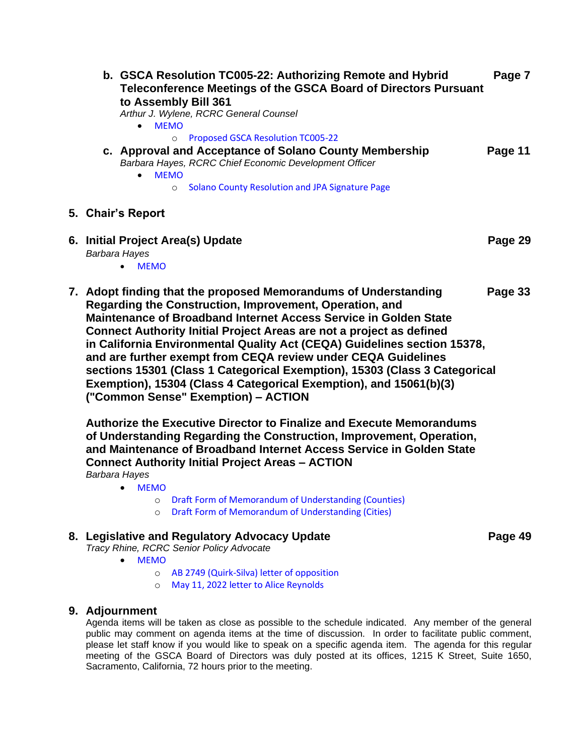| b. GSCA Resolution TC005-22: Authorizing Remote and Hybrid<br>Teleconference Meetings of the GSCA Board of Directors Pursuant<br>to Assembly Bill 361<br>Arthur J. Wylene, RCRC General Counsel<br><b>MEMO</b><br>$\bullet$                                                                                                                                                                                                                                                                                                                                                                                    | Page 7  |
|----------------------------------------------------------------------------------------------------------------------------------------------------------------------------------------------------------------------------------------------------------------------------------------------------------------------------------------------------------------------------------------------------------------------------------------------------------------------------------------------------------------------------------------------------------------------------------------------------------------|---------|
| Proposed GSCA Resolution TC005-22<br>$\circ$<br>c. Approval and Acceptance of Solano County Membership<br>Barbara Hayes, RCRC Chief Economic Development Officer<br><b>MEMO</b><br>$\bullet$<br><b>Solano County Resolution and JPA Signature Page</b><br>$\circ$                                                                                                                                                                                                                                                                                                                                              | Page 11 |
| 5. Chair's Report                                                                                                                                                                                                                                                                                                                                                                                                                                                                                                                                                                                              |         |
| 6. Initial Project Area(s) Update<br>Barbara Hayes<br><b>MEMO</b>                                                                                                                                                                                                                                                                                                                                                                                                                                                                                                                                              | Page 29 |
| 7. Adopt finding that the proposed Memorandums of Understanding<br>Regarding the Construction, Improvement, Operation, and<br>Maintenance of Broadband Internet Access Service in Golden State<br>Connect Authority Initial Project Areas are not a project as defined<br>in California Environmental Quality Act (CEQA) Guidelines section 15378,<br>and are further exempt from CEQA review under CEQA Guidelines<br>sections 15301 (Class 1 Categorical Exemption), 15303 (Class 3 Categorical<br>Exemption), 15304 (Class 4 Categorical Exemption), and 15061(b)(3)<br>("Common Sense" Exemption) - ACTION | Page 33 |
| Authorize the Executive Director to Finalize and Execute Memorandums<br>of Understanding Regarding the Construction, Improvement, Operation,<br>and Maintenance of Broadband Internet Access Service in Golden State<br><b>Connect Authority Initial Project Areas - ACTION</b><br>Barbara Hayes<br>$\bullet$ MEMO                                                                                                                                                                                                                                                                                             |         |

- [MEMO](https://legistarweb-production.s3.amazonaws.com/uploads/attachment/pdf/1436363/GSCA_Project_Area_MOU_Memo_Final.pdf)
	- o [Draft Form of Memorandum of Understanding \(Counties\)](https://legistarweb-production.s3.amazonaws.com/uploads/attachment/pdf/1435377/MOU_-_Generic_County_DRAFT.pdf)
	- o [Draft Form of Memorandum of Understanding \(Cities\)](https://legistarweb-production.s3.amazonaws.com/uploads/attachment/pdf/1435376/MOU_-_Generic_City_DRAFT.pdf)
- **8. Legislative and Regulatory Advocacy Update Page 49**

*Tracy Rhine, RCRC Senior Policy Advocate*

- [MEMO](https://legistarweb-production.s3.amazonaws.com/uploads/attachment/pdf/1435380/Lobbying_and_Regulatory_Advocacy_Update_MEMO.pdf)
	- o [AB 2749 \(Quirk-Silva\) letter of opposition](https://legistarweb-production.s3.amazonaws.com/uploads/attachment/pdf/1435704/Lobbying_and_Regulatory_Advocacy_Update_ATTACH_2.pdf)
	- o [May 11, 2022 letter to Alice Reynolds](https://legistarweb-production.s3.amazonaws.com/uploads/attachment/pdf/1435379/Lobbying_and_Regulatory_Advocacy_Update_ATTACH_1.pdf)

#### **9. Adjournment**

Agenda items will be taken as close as possible to the schedule indicated. Any member of the general public may comment on agenda items at the time of discussion. In order to facilitate public comment, please let staff know if you would like to speak on a specific agenda item. The agenda for this regular meeting of the GSCA Board of Directors was duly posted at its offices, 1215 K Street, Suite 1650, Sacramento, California, 72 hours prior to the meeting.